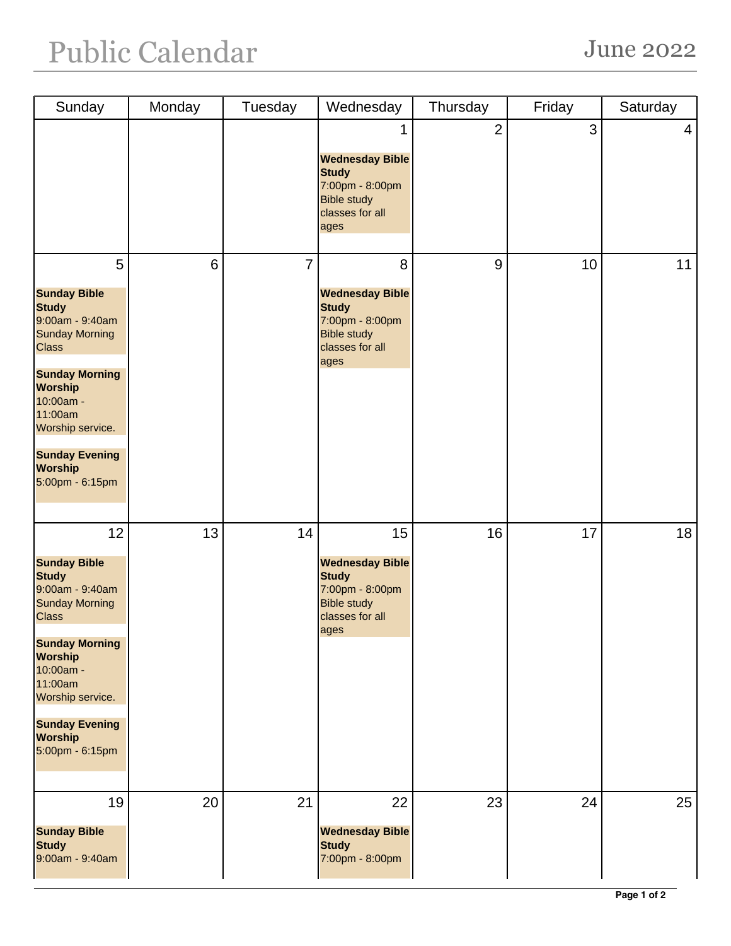## Public Calendar June 2022

| Sunday                                                                                                                                                                                                                                                     | Monday         | Tuesday | Wednesday                                                                                                        | Thursday       | Friday | Saturday       |
|------------------------------------------------------------------------------------------------------------------------------------------------------------------------------------------------------------------------------------------------------------|----------------|---------|------------------------------------------------------------------------------------------------------------------|----------------|--------|----------------|
|                                                                                                                                                                                                                                                            |                |         | 1<br><b>Wednesday Bible</b><br><b>Study</b><br>7:00pm - 8:00pm<br><b>Bible study</b><br>classes for all<br>ages  | $\overline{2}$ | 3      | $\overline{4}$ |
| 5<br><b>Sunday Bible</b><br><b>Study</b><br>9:00am - 9:40am<br><b>Sunday Morning</b><br><b>Class</b><br><b>Sunday Morning</b><br><b>Worship</b><br>10:00am -<br>11:00am<br>Worship service.<br><b>Sunday Evening</b><br><b>Worship</b><br>5:00pm - 6:15pm  | $6\phantom{1}$ | 7       | 8<br><b>Wednesday Bible</b><br><b>Study</b><br>7:00pm - 8:00pm<br><b>Bible study</b><br>classes for all<br>ages  | $9\,$          | 10     | 11             |
| 12<br><b>Sunday Bible</b><br><b>Study</b><br>9:00am - 9:40am<br><b>Sunday Morning</b><br><b>Class</b><br><b>Sunday Morning</b><br><b>Worship</b><br>10:00am -<br>11:00am<br>Worship service.<br><b>Sunday Evening</b><br><b>Worship</b><br>5:00pm - 6:15pm | 13             | 14      | 15<br><b>Wednesday Bible</b><br><b>Study</b><br>7:00pm - 8:00pm<br><b>Bible study</b><br>classes for all<br>ages | 16             | 17     | 18             |
| 19<br><b>Sunday Bible</b><br><b>Study</b><br>9:00am - 9:40am                                                                                                                                                                                               | 20             | 21      | 22<br><b>Wednesday Bible</b><br><b>Study</b><br>7:00pm - 8:00pm                                                  | 23             | 24     | 25             |